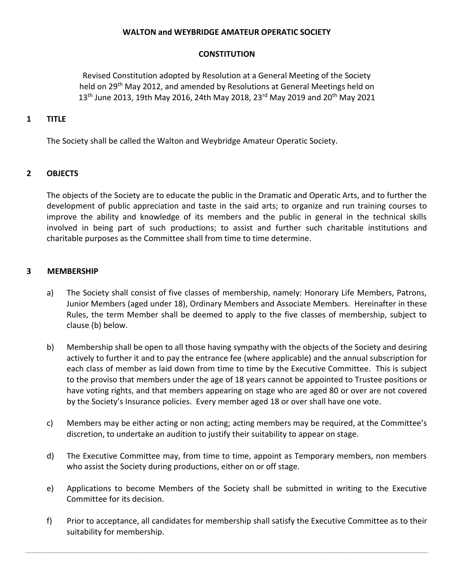### **WALTON and WEYBRIDGE AMATEUR OPERATIC SOCIETY**

#### **CONSTITUTION**

Revised Constitution adopted by Resolution at a General Meeting of the Society held on 29<sup>th</sup> May 2012, and amended by Resolutions at General Meetings held on  $13<sup>th</sup>$  June 2013, 19th May 2016, 24th May 2018, 23<sup>rd</sup> May 2019 and 20<sup>th</sup> May 2021

#### **1 TITLE**

The Society shall be called the Walton and Weybridge Amateur Operatic Society.

### **2 OBJECTS**

The objects of the Society are to educate the public in the Dramatic and Operatic Arts, and to further the development of public appreciation and taste in the said arts; to organize and run training courses to improve the ability and knowledge of its members and the public in general in the technical skills involved in being part of such productions; to assist and further such charitable institutions and charitable purposes as the Committee shall from time to time determine.

### **3 MEMBERSHIP**

- a) The Society shall consist of five classes of membership, namely: Honorary Life Members, Patrons, Junior Members (aged under 18), Ordinary Members and Associate Members. Hereinafter in these Rules, the term Member shall be deemed to apply to the five classes of membership, subject to clause (b) below.
- b) Membership shall be open to all those having sympathy with the objects of the Society and desiring actively to further it and to pay the entrance fee (where applicable) and the annual subscription for each class of member as laid down from time to time by the Executive Committee. This is subject to the proviso that members under the age of 18 years cannot be appointed to Trustee positions or have voting rights, and that members appearing on stage who are aged 80 or over are not covered by the Society's Insurance policies. Every member aged 18 or over shall have one vote.
- c) Members may be either acting or non acting; acting members may be required, at the Committee's discretion, to undertake an audition to justify their suitability to appear on stage.
- d) The Executive Committee may, from time to time, appoint as Temporary members, non members who assist the Society during productions, either on or off stage.
- e) Applications to become Members of the Society shall be submitted in writing to the Executive Committee for its decision.
- f) Prior to acceptance, all candidates for membership shall satisfy the Executive Committee as to their suitability for membership.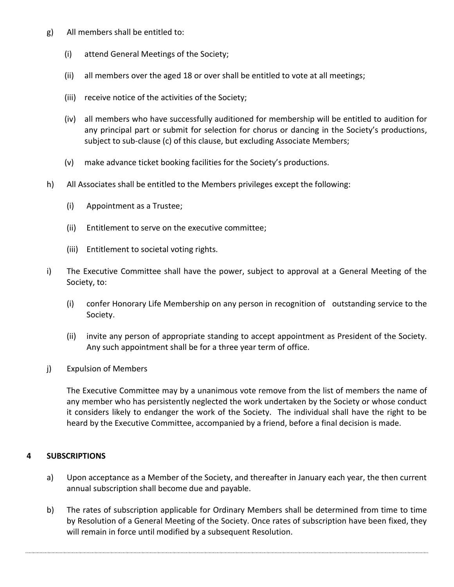- g) All members shall be entitled to:
	- (i) attend General Meetings of the Society;
	- (ii) all members over the aged 18 or over shall be entitled to vote at all meetings;
	- (iii) receive notice of the activities of the Society;
	- (iv) all members who have successfully auditioned for membership will be entitled to audition for any principal part or submit for selection for chorus or dancing in the Society's productions, subject to sub-clause (c) of this clause, but excluding Associate Members;
	- (v) make advance ticket booking facilities for the Society's productions.
- h) All Associates shall be entitled to the Members privileges except the following:
	- (i) Appointment as a Trustee;
	- (ii) Entitlement to serve on the executive committee;
	- (iii) Entitlement to societal voting rights.
- i) The Executive Committee shall have the power, subject to approval at a General Meeting of the Society, to:
	- (i) confer Honorary Life Membership on any person in recognition of outstanding service to the Society.
	- (ii) invite any person of appropriate standing to accept appointment as President of the Society. Any such appointment shall be for a three year term of office.
- j) Expulsion of Members

The Executive Committee may by a unanimous vote remove from the list of members the name of any member who has persistently neglected the work undertaken by the Society or whose conduct it considers likely to endanger the work of the Society. The individual shall have the right to be heard by the Executive Committee, accompanied by a friend, before a final decision is made.

### **4 SUBSCRIPTIONS**

- a) Upon acceptance as a Member of the Society, and thereafter in January each year, the then current annual subscription shall become due and payable.
- b) The rates of subscription applicable for Ordinary Members shall be determined from time to time by Resolution of a General Meeting of the Society. Once rates of subscription have been fixed, they will remain in force until modified by a subsequent Resolution.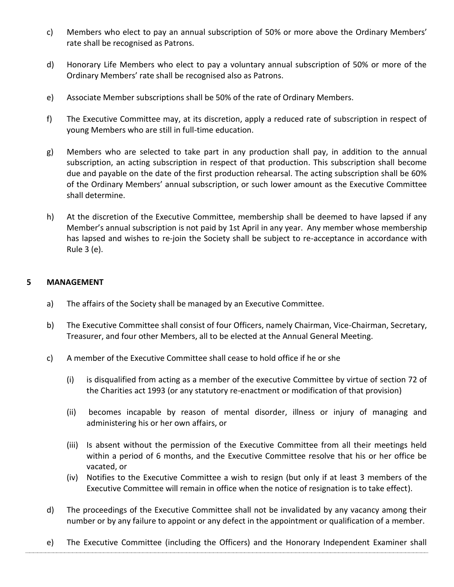- c) Members who elect to pay an annual subscription of 50% or more above the Ordinary Members' rate shall be recognised as Patrons.
- d) Honorary Life Members who elect to pay a voluntary annual subscription of 50% or more of the Ordinary Members' rate shall be recognised also as Patrons.
- e) Associate Member subscriptions shall be 50% of the rate of Ordinary Members.
- f) The Executive Committee may, at its discretion, apply a reduced rate of subscription in respect of young Members who are still in full-time education.
- g) Members who are selected to take part in any production shall pay, in addition to the annual subscription, an acting subscription in respect of that production. This subscription shall become due and payable on the date of the first production rehearsal. The acting subscription shall be 60% of the Ordinary Members' annual subscription, or such lower amount as the Executive Committee shall determine.
- h) At the discretion of the Executive Committee, membership shall be deemed to have lapsed if any Member's annual subscription is not paid by 1st April in any year. Any member whose membership has lapsed and wishes to re-join the Society shall be subject to re-acceptance in accordance with Rule 3 (e).

### **5 MANAGEMENT**

- a) The affairs of the Society shall be managed by an Executive Committee.
- b) The Executive Committee shall consist of four Officers, namely Chairman, Vice-Chairman, Secretary, Treasurer, and four other Members, all to be elected at the Annual General Meeting.
- c) A member of the Executive Committee shall cease to hold office if he or she
	- (i) is disqualified from acting as a member of the executive Committee by virtue of section 72 of the Charities act 1993 (or any statutory re-enactment or modification of that provision)
	- (ii) becomes incapable by reason of mental disorder, illness or injury of managing and administering his or her own affairs, or
	- (iii) Is absent without the permission of the Executive Committee from all their meetings held within a period of 6 months, and the Executive Committee resolve that his or her office be vacated, or
	- (iv) Notifies to the Executive Committee a wish to resign (but only if at least 3 members of the Executive Committee will remain in office when the notice of resignation is to take effect).
- d) The proceedings of the Executive Committee shall not be invalidated by any vacancy among their number or by any failure to appoint or any defect in the appointment or qualification of a member.
- e) The Executive Committee (including the Officers) and the Honorary Independent Examiner shall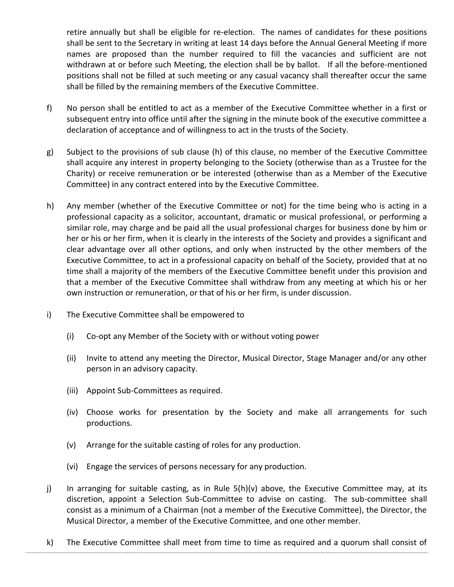retire annually but shall be eligible for re-election. The names of candidates for these positions shall be sent to the Secretary in writing at least 14 days before the Annual General Meeting if more names are proposed than the number required to fill the vacancies and sufficient are not withdrawn at or before such Meeting, the election shall be by ballot. If all the before-mentioned positions shall not be filled at such meeting or any casual vacancy shall thereafter occur the same shall be filled by the remaining members of the Executive Committee.

- f) No person shall be entitled to act as a member of the Executive Committee whether in a first or subsequent entry into office until after the signing in the minute book of the executive committee a declaration of acceptance and of willingness to act in the trusts of the Society.
- g) Subject to the provisions of sub clause (h) of this clause, no member of the Executive Committee shall acquire any interest in property belonging to the Society (otherwise than as a Trustee for the Charity) or receive remuneration or be interested (otherwise than as a Member of the Executive Committee) in any contract entered into by the Executive Committee.
- h) Any member (whether of the Executive Committee or not) for the time being who is acting in a professional capacity as a solicitor, accountant, dramatic or musical professional, or performing a similar role, may charge and be paid all the usual professional charges for business done by him or her or his or her firm, when it is clearly in the interests of the Society and provides a significant and clear advantage over all other options, and only when instructed by the other members of the Executive Committee, to act in a professional capacity on behalf of the Society, provided that at no time shall a majority of the members of the Executive Committee benefit under this provision and that a member of the Executive Committee shall withdraw from any meeting at which his or her own instruction or remuneration, or that of his or her firm, is under discussion.
- i) The Executive Committee shall be empowered to
	- (i) Co-opt any Member of the Society with or without voting power
	- (ii) Invite to attend any meeting the Director, Musical Director, Stage Manager and/or any other person in an advisory capacity.
	- (iii) Appoint Sub-Committees as required.
	- (iv) Choose works for presentation by the Society and make all arrangements for such productions.
	- (v) Arrange for the suitable casting of roles for any production.
	- (vi) Engage the services of persons necessary for any production.
- j) In arranging for suitable casting, as in Rule 5(h)(v) above, the Executive Committee may, at its discretion, appoint a Selection Sub-Committee to advise on casting. The sub-committee shall consist as a minimum of a Chairman (not a member of the Executive Committee), the Director, the Musical Director, a member of the Executive Committee, and one other member.
- k) The Executive Committee shall meet from time to time as required and a quorum shall consist of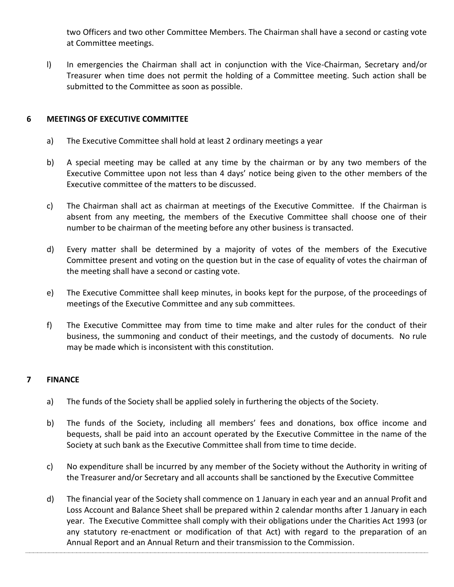two Officers and two other Committee Members. The Chairman shall have a second or casting vote at Committee meetings.

l) In emergencies the Chairman shall act in conjunction with the Vice-Chairman, Secretary and/or Treasurer when time does not permit the holding of a Committee meeting. Such action shall be submitted to the Committee as soon as possible.

### **6 MEETINGS OF EXECUTIVE COMMITTEE**

- a) The Executive Committee shall hold at least 2 ordinary meetings a year
- b) A special meeting may be called at any time by the chairman or by any two members of the Executive Committee upon not less than 4 days' notice being given to the other members of the Executive committee of the matters to be discussed.
- c) The Chairman shall act as chairman at meetings of the Executive Committee. If the Chairman is absent from any meeting, the members of the Executive Committee shall choose one of their number to be chairman of the meeting before any other business is transacted.
- d) Every matter shall be determined by a majority of votes of the members of the Executive Committee present and voting on the question but in the case of equality of votes the chairman of the meeting shall have a second or casting vote.
- e) The Executive Committee shall keep minutes, in books kept for the purpose, of the proceedings of meetings of the Executive Committee and any sub committees.
- f) The Executive Committee may from time to time make and alter rules for the conduct of their business, the summoning and conduct of their meetings, and the custody of documents. No rule may be made which is inconsistent with this constitution.

## **7 FINANCE**

- a) The funds of the Society shall be applied solely in furthering the objects of the Society.
- b) The funds of the Society, including all members' fees and donations, box office income and bequests, shall be paid into an account operated by the Executive Committee in the name of the Society at such bank as the Executive Committee shall from time to time decide.
- c) No expenditure shall be incurred by any member of the Society without the Authority in writing of the Treasurer and/or Secretary and all accounts shall be sanctioned by the Executive Committee
- d) The financial year of the Society shall commence on 1 January in each year and an annual Profit and Loss Account and Balance Sheet shall be prepared within 2 calendar months after 1 January in each year. The Executive Committee shall comply with their obligations under the Charities Act 1993 (or any statutory re-enactment or modification of that Act) with regard to the preparation of an Annual Report and an Annual Return and their transmission to the Commission.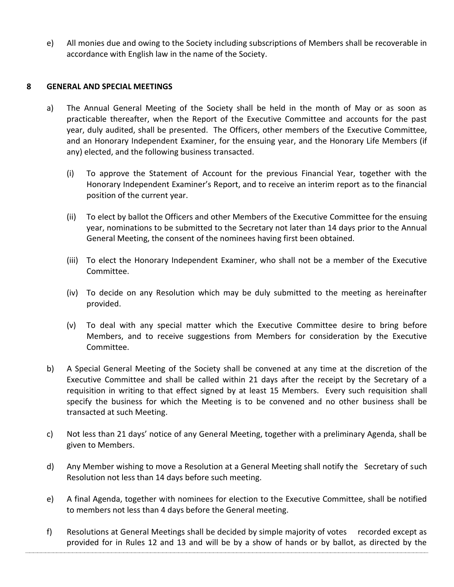e) All monies due and owing to the Society including subscriptions of Members shall be recoverable in accordance with English law in the name of the Society.

### **8 GENERAL AND SPECIAL MEETINGS**

- a) The Annual General Meeting of the Society shall be held in the month of May or as soon as practicable thereafter, when the Report of the Executive Committee and accounts for the past year, duly audited, shall be presented. The Officers, other members of the Executive Committee, and an Honorary Independent Examiner, for the ensuing year, and the Honorary Life Members (if any) elected, and the following business transacted.
	- (i) To approve the Statement of Account for the previous Financial Year, together with the Honorary Independent Examiner's Report, and to receive an interim report as to the financial position of the current year.
	- (ii) To elect by ballot the Officers and other Members of the Executive Committee for the ensuing year, nominations to be submitted to the Secretary not later than 14 days prior to the Annual General Meeting, the consent of the nominees having first been obtained.
	- (iii) To elect the Honorary Independent Examiner, who shall not be a member of the Executive Committee.
	- (iv) To decide on any Resolution which may be duly submitted to the meeting as hereinafter provided.
	- (v) To deal with any special matter which the Executive Committee desire to bring before Members, and to receive suggestions from Members for consideration by the Executive Committee.
- b) A Special General Meeting of the Society shall be convened at any time at the discretion of the Executive Committee and shall be called within 21 days after the receipt by the Secretary of a requisition in writing to that effect signed by at least 15 Members. Every such requisition shall specify the business for which the Meeting is to be convened and no other business shall be transacted at such Meeting.
- c) Not less than 21 days' notice of any General Meeting, together with a preliminary Agenda, shall be given to Members.
- d) Any Member wishing to move a Resolution at a General Meeting shall notify the Secretary of such Resolution not less than 14 days before such meeting.
- e) A final Agenda, together with nominees for election to the Executive Committee, shall be notified to members not less than 4 days before the General meeting.
- f) Resolutions at General Meetings shall be decided by simple majority of votes recorded except as provided for in Rules 12 and 13 and will be by a show of hands or by ballot, as directed by the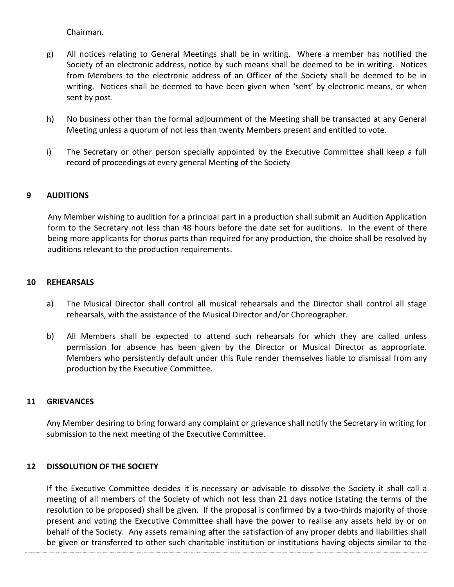Chairman.

- g) All notices relating to General Meetings shall be in writing. Where a member has notified the Society of an electronic address, notice by such means shall be deemed to be in writing. Notices from Members to the electronic address of an Officer of the Society shall be deemed to be in writing. Notices shall be deemed to have been given when 'sent' by electronic means, or when sent by post.
- h) No business other than the formal adjournment of the Meeting shall be transacted at any General Meeting unless a quorum of not less than twenty Members present and entitled to vote.
- i) The Secretary or other person specially appointed by the Executive Committee shall keep a full record of proceedings at every general Meeting of the Society

## **9 AUDITIONS**

Any Member wishing to audition for a principal part in a production shall submit an Audition Application form to the Secretary not less than 48 hours before the date set for auditions. In the event of there being more applicants for chorus parts than required for any production, the choice shall be resolved by auditions relevant to the production requirements.

#### **10 REHEARSALS**

- a) The Musical Director shall control all musical rehearsals and the Director shall control all stage rehearsals, with the assistance of the Musical Director and/or Choreographer.
- b) All Members shall be expected to attend such rehearsals for which they are called unless permission for absence has been given by the Director or Musical Director as appropriate. Members who persistently default under this Rule render themselves liable to dismissal from any production by the Executive Committee.

### **11 GRIEVANCES**

Any Member desiring to bring forward any complaint or grievance shall notify the Secretary in writing for submission to the next meeting of the Executive Committee.

## **12 DISSOLUTION OF THE SOCIETY**

If the Executive Committee decides it is necessary or advisable to dissolve the Society it shall call a meeting of all members of the Society of which not less than 21 days notice (stating the terms of the resolution to be proposed) shall be given. If the proposal is confirmed by a two-thirds majority of those present and voting the Executive Committee shall have the power to realise any assets held by or on behalf of the Society. Any assets remaining after the satisfaction of any proper debts and liabilities shall be given or transferred to other such charitable institution or institutions having objects similar to the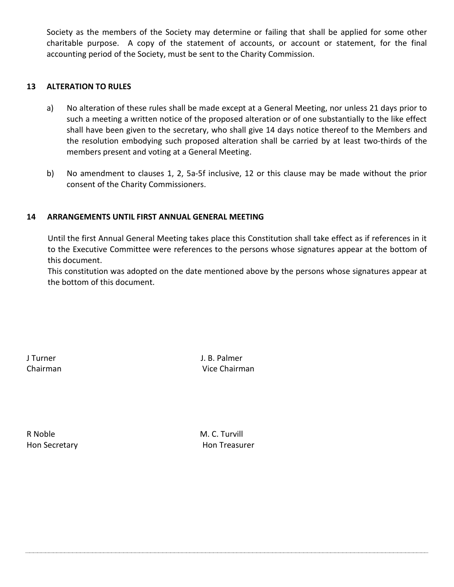Society as the members of the Society may determine or failing that shall be applied for some other charitable purpose. A copy of the statement of accounts, or account or statement, for the final accounting period of the Society, must be sent to the Charity Commission.

### **13 ALTERATION TO RULES**

- a) No alteration of these rules shall be made except at a General Meeting, nor unless 21 days prior to such a meeting a written notice of the proposed alteration or of one substantially to the like effect shall have been given to the secretary, who shall give 14 days notice thereof to the Members and the resolution embodying such proposed alteration shall be carried by at least two-thirds of the members present and voting at a General Meeting.
- b) No amendment to clauses 1, 2, 5a-5f inclusive, 12 or this clause may be made without the prior consent of the Charity Commissioners.

### **14 ARRANGEMENTS UNTIL FIRST ANNUAL GENERAL MEETING**

Until the first Annual General Meeting takes place this Constitution shall take effect as if references in it to the Executive Committee were references to the persons whose signatures appear at the bottom of this document.

This constitution was adopted on the date mentioned above by the persons whose signatures appear at the bottom of this document.

J Turner J. B. Palmer Chairman Vice Chairman

R Noble M. C. Turvill

Hon Secretary **Hon Treasurer**